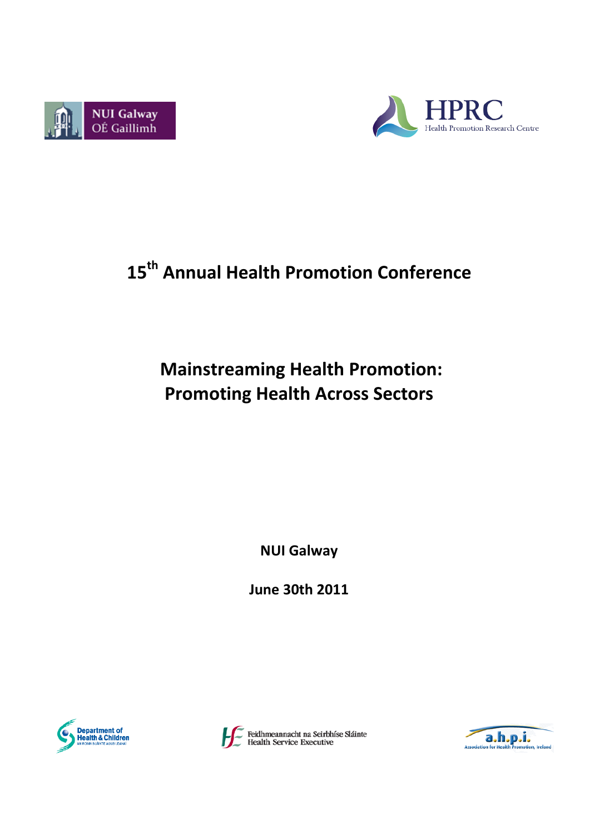



# **15th Annual Health Promotion Conference**

# **Mainstreaming Health Promotion: Promoting Health Across Sectors**

**NUI Galway**

**June 30th 2011**





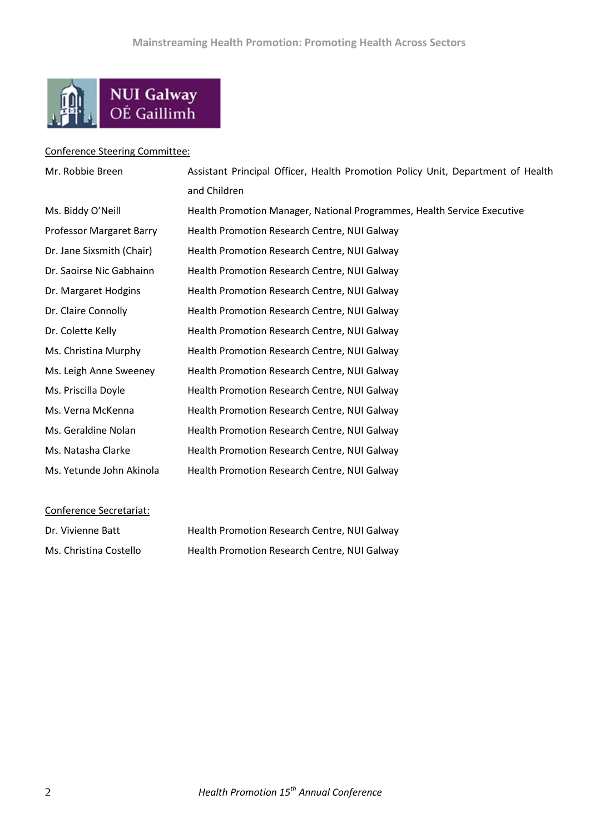

#### Conference Steering Committee:

| Mr. Robbie Breen          | Assistant Principal Officer, Health Promotion Policy Unit, Department of Health |
|---------------------------|---------------------------------------------------------------------------------|
|                           | and Children                                                                    |
| Ms. Biddy O'Neill         | Health Promotion Manager, National Programmes, Health Service Executive         |
| Professor Margaret Barry  | Health Promotion Research Centre, NUI Galway                                    |
| Dr. Jane Sixsmith (Chair) | Health Promotion Research Centre, NUI Galway                                    |
| Dr. Saoirse Nic Gabhainn  | Health Promotion Research Centre, NUI Galway                                    |
| Dr. Margaret Hodgins      | Health Promotion Research Centre, NUI Galway                                    |
| Dr. Claire Connolly       | Health Promotion Research Centre, NUI Galway                                    |
| Dr. Colette Kelly         | Health Promotion Research Centre, NUI Galway                                    |
| Ms. Christina Murphy      | Health Promotion Research Centre, NUI Galway                                    |
| Ms. Leigh Anne Sweeney    | Health Promotion Research Centre, NUI Galway                                    |
| Ms. Priscilla Doyle       | Health Promotion Research Centre, NUI Galway                                    |
| Ms. Verna McKenna         | Health Promotion Research Centre, NUI Galway                                    |
| Ms. Geraldine Nolan       | Health Promotion Research Centre, NUI Galway                                    |
| Ms. Natasha Clarke        | Health Promotion Research Centre, NUI Galway                                    |
| Ms. Yetunde John Akinola  | Health Promotion Research Centre, NUI Galway                                    |
|                           |                                                                                 |

#### Conference Secretariat:

| Dr. Vivienne Batt      | Health Promotion Research Centre, NUI Galway |
|------------------------|----------------------------------------------|
| Ms. Christina Costello | Health Promotion Research Centre, NUI Galway |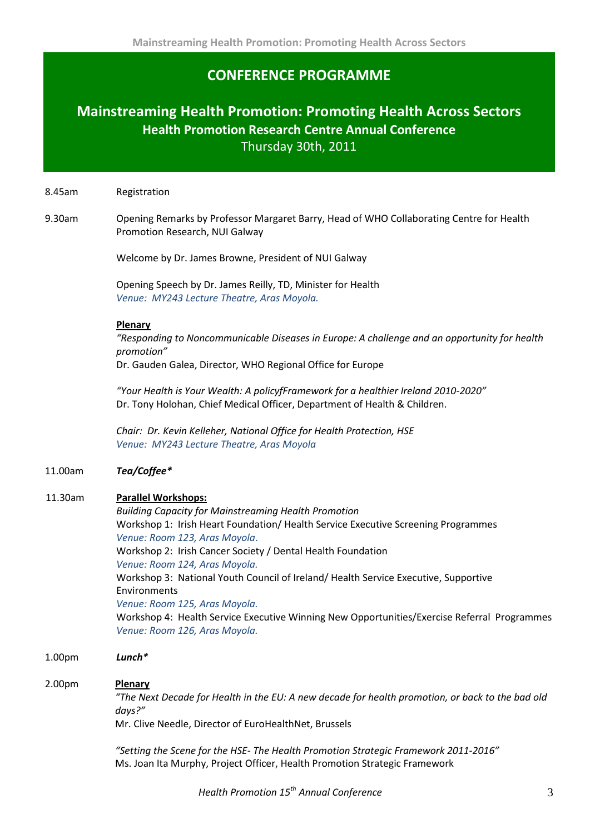### **CONFERENCE PROGRAMME**

### **Mainstreaming Health Promotion: Promoting Health Across Sectors Health Promotion Research Centre Annual Conference** Thursday 30th, 2011

8.45am Registration

9.30am Opening Remarks by Professor Margaret Barry, Head of WHO Collaborating Centre for Health Promotion Research, NUI Galway

Welcome by Dr. James Browne, President of NUI Galway

Opening Speech by Dr. James Reilly, TD, Minister for Health *Venue: MY243 Lecture Theatre, Aras Moyola.*

#### **Plenary**

*"Responding to Noncommunicable Diseases in Europe: A challenge and an opportunity for health promotion"*

Dr. Gauden Galea, Director, WHO Regional Office for Europe

*"Your Health is Your Wealth: A policyfFramework for a healthier Ireland 2010-2020"* Dr. Tony Holohan, Chief Medical Officer, Department of Health & Children.

*Chair: Dr. Kevin Kelleher, National Office for Health Protection, HSE Venue: MY243 Lecture Theatre, Aras Moyola*

#### 11.00am *Tea/Coffee\**

#### 11.30am **Parallel Workshops:**

*Building Capacity for Mainstreaming Health Promotion* Workshop 1: Irish Heart Foundation/ Health Service Executive Screening Programmes *Venue: Room 123, Aras Moyola*. Workshop 2: Irish Cancer Society / Dental Health Foundation *Venue: Room 124, Aras Moyola.* Workshop 3: National Youth Council of Ireland/ Health Service Executive, Supportive Environments *Venue: Room 125, Aras Moyola.* Workshop 4: Health Service Executive Winning New Opportunities/Exercise Referral Programmes *Venue: Room 126, Aras Moyola.*

1.00pm *Lunch\**

#### 2.00pm **Plenary**

*"The Next Decade for Health in the EU: A new decade for health promotion, or back to the bad old days?"*

Mr. Clive Needle, Director of EuroHealthNet, Brussels

*"Setting the Scene for the HSE- The Health Promotion Strategic Framework 2011-2016"* Ms. Joan Ita Murphy, Project Officer, Health Promotion Strategic Framework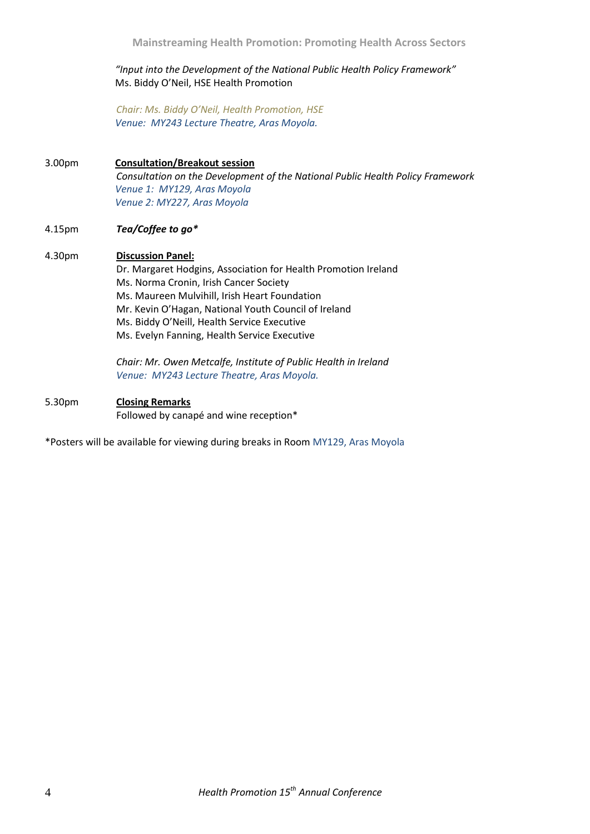#### *"Input into the Development of the National Public Health Policy Framework"* Ms. Biddy O'Neil, HSE Health Promotion

*Chair: Ms. Biddy O'Neil, Health Promotion, HSE Venue: MY243 Lecture Theatre, Aras Moyola.*

#### 3.00pm **Consultation/Breakout session** *Consultation on the Development of the National Public Health Policy Framework Venue 1: MY129, Aras Moyola Venue 2: MY227, Aras Moyola*

#### 4.15pm *Tea/Coffee to go\**

#### 4.30pm **Discussion Panel:**

Dr. Margaret Hodgins, Association for Health Promotion Ireland Ms. Norma Cronin, Irish Cancer Society Ms. Maureen Mulvihill, Irish Heart Foundation Mr. Kevin O'Hagan, National Youth Council of Ireland Ms. Biddy O'Neill, Health Service Executive Ms. Evelyn Fanning, Health Service Executive

*Chair: Mr. Owen Metcalfe, Institute of Public Health in Ireland Venue: MY243 Lecture Theatre, Aras Moyola.*

#### 5.30pm **Closing Remarks**

Followed by canapé and wine reception\*

\*Posters will be available for viewing during breaks in Room MY129, Aras Moyola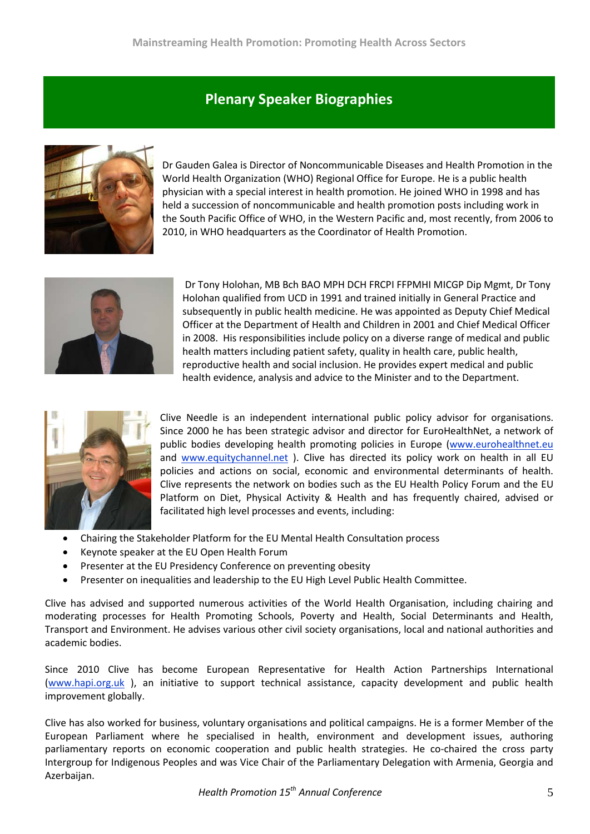## **Plenary Speaker Biographies**



Dr Gauden Galea is Director of Noncommunicable Diseases and Health Promotion in the World Health Organization (WHO) Regional Office for Europe. He is a public health physician with a special interest in health promotion. He joined WHO in 1998 and has held a succession of noncommunicable and health promotion posts including work in the South Pacific Office of WHO, in the Western Pacific and, most recently, from 2006 to 2010, in WHO headquarters as the Coordinator of Health Promotion.



Dr Tony Holohan, MB Bch BAO MPH DCH FRCPI FFPMHI MICGP Dip Mgmt, Dr Tony Holohan qualified from UCD in 1991 and trained initially in General Practice and subsequently in public health medicine. He was appointed as Deputy Chief Medical Officer at the Department of Health and Children in 2001 and Chief Medical Officer in 2008. His responsibilities include policy on a diverse range of medical and public health matters including patient safety, quality in health care, public health, reproductive health and social inclusion. He provides expert medical and public health evidence, analysis and advice to the Minister and to the Department.



Clive Needle is an independent international public policy advisor for organisations. Since 2000 he has been strategic advisor and director for EuroHealthNet, a network of public bodies developing health promoting policies in Europe [\(www.eurohealthnet.eu](http://www.eurohealthnet.eu/) and [www.equitychannel.net](http://www.equitychannel.net/) ). Clive has directed its policy work on health in all EU policies and actions on social, economic and environmental determinants of health. Clive represents the network on bodies such as the EU Health Policy Forum and the EU Platform on Diet, Physical Activity & Health and has frequently chaired, advised or facilitated high level processes and events, including:

- Chairing the Stakeholder Platform for the EU Mental Health Consultation process
- Keynote speaker at the EU Open Health Forum
- Presenter at the EU Presidency Conference on preventing obesity
- Presenter on inequalities and leadership to the EU High Level Public Health Committee.

Clive has advised and supported numerous activities of the World Health Organisation, including chairing and moderating processes for Health Promoting Schools, Poverty and Health, Social Determinants and Health, Transport and Environment. He advises various other civil society organisations, local and national authorities and academic bodies.

Since 2010 Clive has become European Representative for Health Action Partnerships International [\(www.hapi.org.uk](http://www.hapi.org.uk/) ), an initiative to support technical assistance, capacity development and public health improvement globally.

Clive has also worked for business, voluntary organisations and political campaigns. He is a former Member of the European Parliament where he specialised in health, environment and development issues, authoring parliamentary reports on economic cooperation and public health strategies. He co-chaired the cross party Intergroup for Indigenous Peoples and was Vice Chair of the Parliamentary Delegation with Armenia, Georgia and Azerbaijan.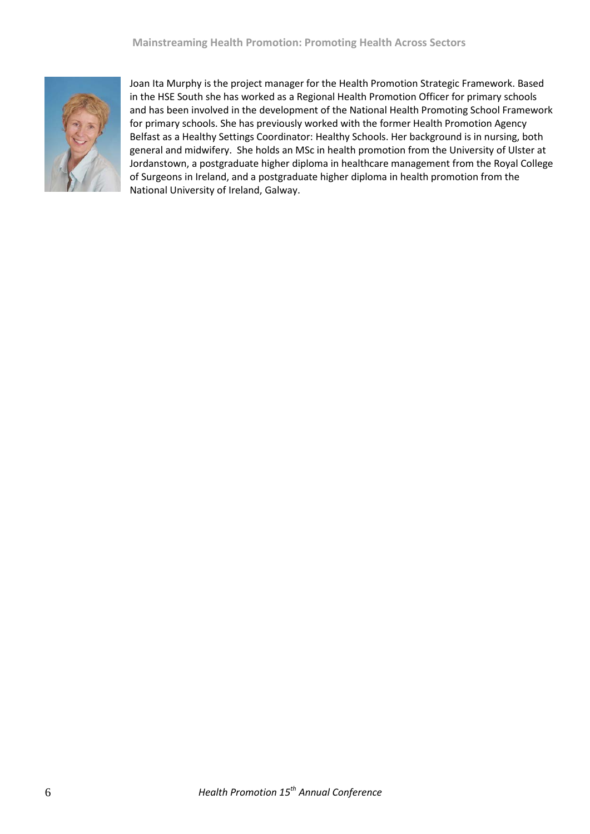

Joan Ita Murphy is the project manager for the Health Promotion Strategic Framework. Based in the HSE South she has worked as a Regional Health Promotion Officer for primary schools and has been involved in the development of the National Health Promoting School Framework for primary schools. She has previously worked with the former Health Promotion Agency Belfast as a Healthy Settings Coordinator: Healthy Schools. Her background is in nursing, both general and midwifery. She holds an MSc in health promotion from the University of Ulster at Jordanstown, a postgraduate higher diploma in healthcare management from the Royal College of Surgeons in Ireland, and a postgraduate higher diploma in health promotion from the National University of Ireland, Galway.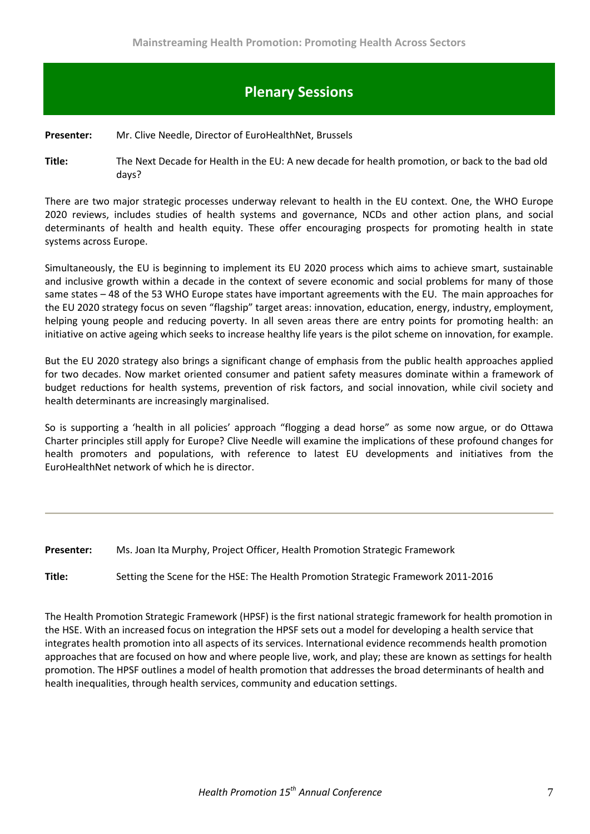## **Plenary Sessions**

#### **Presenter:** Mr. Clive Needle, Director of EuroHealthNet, Brussels

**Title:** The Next Decade for Health in the EU: A new decade for health promotion, or back to the bad old days?

There are two major strategic processes underway relevant to health in the EU context. One, the WHO Europe 2020 reviews, includes studies of health systems and governance, NCDs and other action plans, and social determinants of health and health equity. These offer encouraging prospects for promoting health in state systems across Europe.

Simultaneously, the EU is beginning to implement its EU 2020 process which aims to achieve smart, sustainable and inclusive growth within a decade in the context of severe economic and social problems for many of those same states – 48 of the 53 WHO Europe states have important agreements with the EU. The main approaches for the EU 2020 strategy focus on seven "flagship" target areas: innovation, education, energy, industry, employment, helping young people and reducing poverty. In all seven areas there are entry points for promoting health: an initiative on active ageing which seeks to increase healthy life years is the pilot scheme on innovation, for example.

But the EU 2020 strategy also brings a significant change of emphasis from the public health approaches applied for two decades. Now market oriented consumer and patient safety measures dominate within a framework of budget reductions for health systems, prevention of risk factors, and social innovation, while civil society and health determinants are increasingly marginalised.

So is supporting a 'health in all policies' approach "flogging a dead horse" as some now argue, or do Ottawa Charter principles still apply for Europe? Clive Needle will examine the implications of these profound changes for health promoters and populations, with reference to latest EU developments and initiatives from the EuroHealthNet network of which he is director.

#### **Presenter:** Ms. Joan Ita Murphy, Project Officer, Health Promotion Strategic Framework

**Title:** Setting the Scene for the HSE: The Health Promotion Strategic Framework 2011-2016

The Health Promotion Strategic Framework (HPSF) is the first national strategic framework for health promotion in the HSE. With an increased focus on integration the HPSF sets out a model for developing a health service that integrates health promotion into all aspects of its services. International evidence recommends health promotion approaches that are focused on how and where people live, work, and play; these are known as settings for health promotion. The HPSF outlines a model of health promotion that addresses the broad determinants of health and health inequalities, through health services, community and education settings.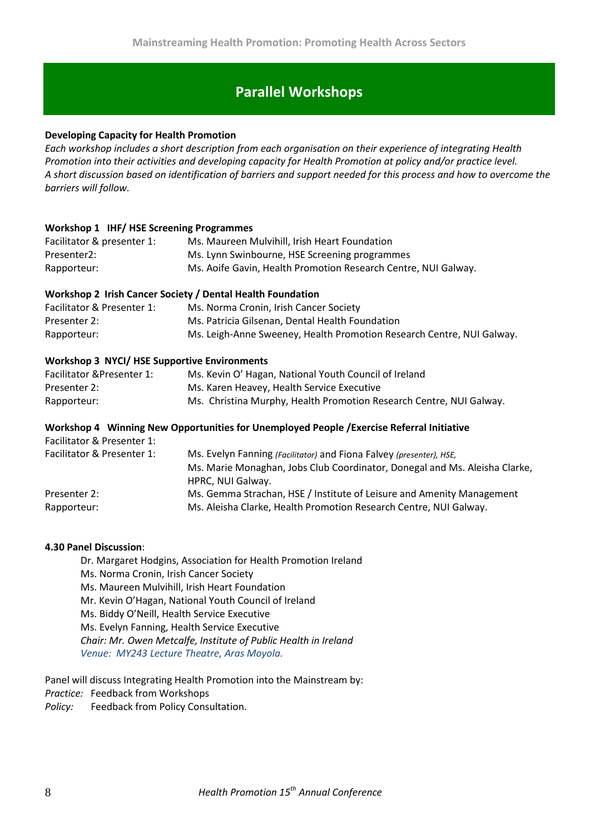## **Parallel Workshops**

#### **Developing Capacity for Health Promotion**

*Each workshop includes a short description from each organisation on their experience of integrating Health Promotion into their activities and developing capacity for Health Promotion at policy and/or practice level. A short discussion based on identification of barriers and support needed for this process and how to overcome the barriers will follow.*

#### **Workshop 1 IHF/ HSE Screening Programmes**

| Facilitator & presenter 1: | Ms. Maureen Mulvihill, Irish Heart Foundation                  |
|----------------------------|----------------------------------------------------------------|
| Presenter2:                | Ms. Lynn Swinbourne, HSE Screening programmes                  |
| Rapporteur:                | Ms. Aoife Gavin, Health Promotion Research Centre, NUI Galway. |

#### **Workshop 2 Irish Cancer Society / Dental Health Foundation**

| Facilitator & Presenter 1: | Ms. Norma Cronin, Irish Cancer Society                                |
|----------------------------|-----------------------------------------------------------------------|
| Presenter 2:               | Ms. Patricia Gilsenan, Dental Health Foundation                       |
| Rapporteur:                | Ms. Leigh-Anne Sweeney, Health Promotion Research Centre, NUI Galway. |

#### **Workshop 3 NYCI/ HSE Supportive Environments**

| Facilitator & Presenter 1: | Ms. Kevin O' Hagan, National Youth Council of Ireland               |
|----------------------------|---------------------------------------------------------------------|
| Presenter 2:               | Ms. Karen Heavey, Health Service Executive                          |
| Rapporteur:                | Ms. Christina Murphy, Health Promotion Research Centre, NUI Galway. |

#### **Workshop 4 Winning New Opportunities for Unemployed People /Exercise Referral Initiative**

Facilitator & Presenter 1:

| Facilitator & Presenter 1: | Ms. Evelyn Fanning (Facilitator) and Fiona Falvey (presenter), HSE,        |
|----------------------------|----------------------------------------------------------------------------|
|                            | Ms. Marie Monaghan, Jobs Club Coordinator, Donegal and Ms. Aleisha Clarke, |
|                            | HPRC, NUI Galway.                                                          |
| Presenter 2:               | Ms. Gemma Strachan, HSE / Institute of Leisure and Amenity Management      |
| Rapporteur:                | Ms. Aleisha Clarke, Health Promotion Research Centre, NUI Galway.          |

#### **4.30 Panel Discussion**:

Dr. Margaret Hodgins, Association for Health Promotion Ireland Ms. Norma Cronin, Irish Cancer Society Ms. Maureen Mulvihill, Irish Heart Foundation Mr. Kevin O'Hagan, National Youth Council of Ireland Ms. Biddy O'Neill, Health Service Executive Ms. Evelyn Fanning, Health Service Executive *Chair: Mr. Owen Metcalfe, Institute of Public Health in Ireland Venue: MY243 Lecture Theatre, Aras Moyola.*

Panel will discuss Integrating Health Promotion into the Mainstream by: *Practice:* Feedback from Workshops *Policy:* Feedback from Policy Consultation.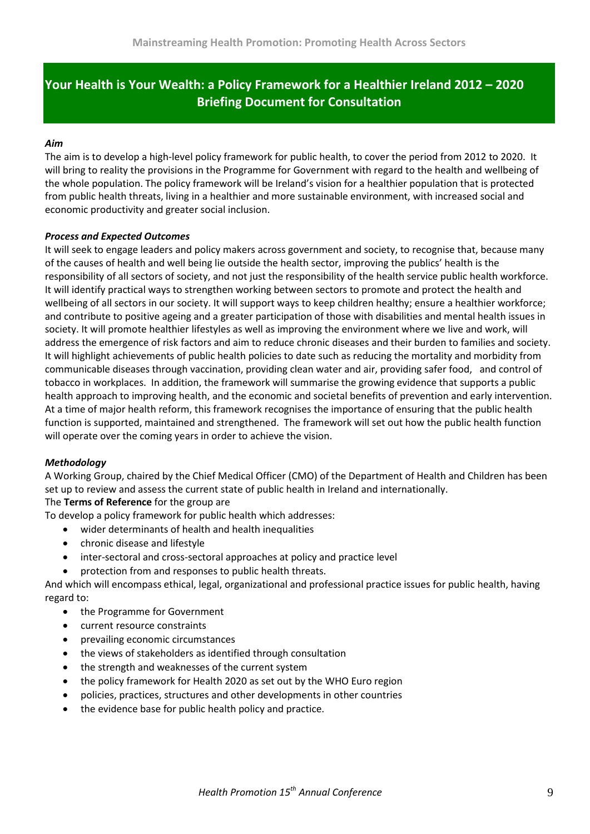## **Your Health is Your Wealth: a Policy Framework for a Healthier Ireland 2012 – 2020 Briefing Document for Consultation**

#### *Aim*

The aim is to develop a high-level policy framework for public health, to cover the period from 2012 to 2020. It will bring to reality the provisions in the Programme for Government with regard to the health and wellbeing of the whole population. The policy framework will be Ireland's vision for a healthier population that is protected from public health threats, living in a healthier and more sustainable environment, with increased social and economic productivity and greater social inclusion.

#### *Process and Expected Outcomes*

It will seek to engage leaders and policy makers across government and society, to recognise that, because many of the causes of health and well being lie outside the health sector, improving the publics' health is the responsibility of all sectors of society, and not just the responsibility of the health service public health workforce. It will identify practical ways to strengthen working between sectors to promote and protect the health and wellbeing of all sectors in our society. It will support ways to keep children healthy; ensure a healthier workforce; and contribute to positive ageing and a greater participation of those with disabilities and mental health issues in society. It will promote healthier lifestyles as well as improving the environment where we live and work, will address the emergence of risk factors and aim to reduce chronic diseases and their burden to families and society. It will highlight achievements of public health policies to date such as reducing the mortality and morbidity from communicable diseases through vaccination, providing clean water and air, providing safer food, and control of tobacco in workplaces. In addition, the framework will summarise the growing evidence that supports a public health approach to improving health, and the economic and societal benefits of prevention and early intervention. At a time of major health reform, this framework recognises the importance of ensuring that the public health function is supported, maintained and strengthened. The framework will set out how the public health function will operate over the coming years in order to achieve the vision.

#### *Methodology*

A Working Group, chaired by the Chief Medical Officer (CMO) of the Department of Health and Children has been set up to review and assess the current state of public health in Ireland and internationally.

#### The **Terms of Reference** for the group are

To develop a policy framework for public health which addresses:

- wider determinants of health and health inequalities
- chronic disease and lifestyle
- inter-sectoral and cross-sectoral approaches at policy and practice level
- protection from and responses to public health threats.

And which will encompass ethical, legal, organizational and professional practice issues for public health, having regard to:

- the Programme for Government
- current resource constraints
- prevailing economic circumstances
- the views of stakeholders as identified through consultation
- the strength and weaknesses of the current system
- the policy framework for Health 2020 as set out by the WHO Euro region
- policies, practices, structures and other developments in other countries
- the evidence base for public health policy and practice.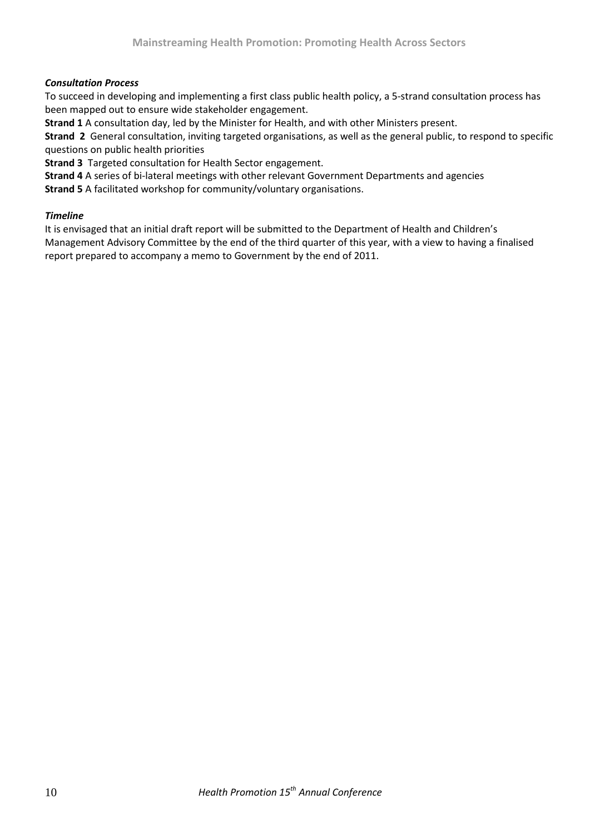#### *Consultation Process*

To succeed in developing and implementing a first class public health policy, a 5-strand consultation process has been mapped out to ensure wide stakeholder engagement.

**Strand 1** A consultation day, led by the Minister for Health, and with other Ministers present.

**Strand 2** General consultation, inviting targeted organisations, as well as the general public, to respond to specific questions on public health priorities

**Strand 3** Targeted consultation for Health Sector engagement.

**Strand 4** A series of bi-lateral meetings with other relevant Government Departments and agencies

**Strand 5** A facilitated workshop for community/voluntary organisations.

#### *Timeline*

It is envisaged that an initial draft report will be submitted to the Department of Health and Children's Management Advisory Committee by the end of the third quarter of this year, with a view to having a finalised report prepared to accompany a memo to Government by the end of 2011.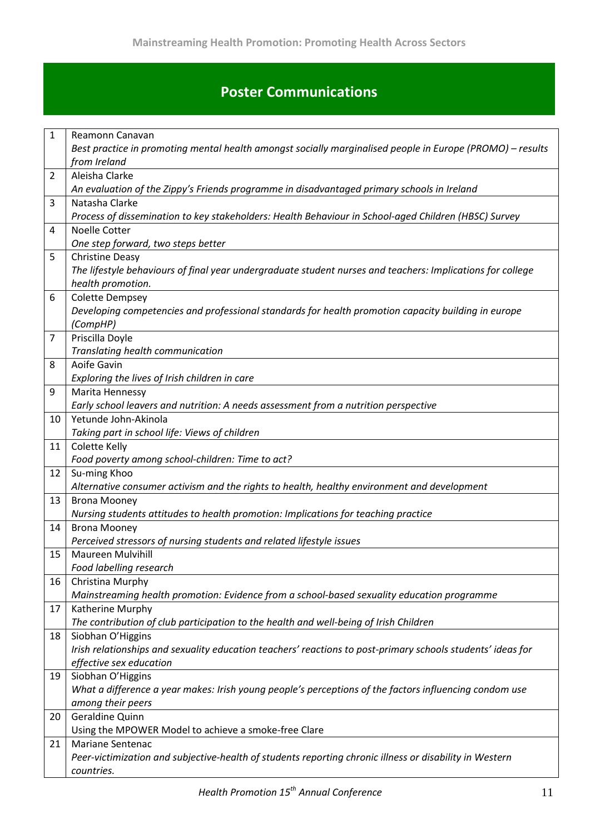## **Poster Communications**

| 1              | Reamonn Canavan                                                                                                                 |
|----------------|---------------------------------------------------------------------------------------------------------------------------------|
|                | Best practice in promoting mental health amongst socially marginalised people in Europe (PROMO) – results                       |
|                | from Ireland                                                                                                                    |
| $\overline{2}$ | Aleisha Clarke                                                                                                                  |
|                | An evaluation of the Zippy's Friends programme in disadvantaged primary schools in Ireland                                      |
| 3              | Natasha Clarke                                                                                                                  |
|                | Process of dissemination to key stakeholders: Health Behaviour in School-aged Children (HBSC) Survey                            |
| 4              | Noelle Cotter                                                                                                                   |
|                | One step forward, two steps better                                                                                              |
| 5              | <b>Christine Deasy</b>                                                                                                          |
|                | The lifestyle behaviours of final year undergraduate student nurses and teachers: Implications for college<br>health promotion. |
| 6              | <b>Colette Dempsey</b>                                                                                                          |
|                | Developing competencies and professional standards for health promotion capacity building in europe                             |
|                | (CompHP)                                                                                                                        |
| $\overline{7}$ | Priscilla Doyle                                                                                                                 |
|                | Translating health communication                                                                                                |
| 8              | Aoife Gavin                                                                                                                     |
|                | Exploring the lives of Irish children in care                                                                                   |
| 9              | Marita Hennessy                                                                                                                 |
|                | Early school leavers and nutrition: A needs assessment from a nutrition perspective                                             |
| 10             | Yetunde John-Akinola                                                                                                            |
|                | Taking part in school life: Views of children                                                                                   |
| 11             | Colette Kelly                                                                                                                   |
|                | Food poverty among school-children: Time to act?                                                                                |
| 12             | Su-ming Khoo                                                                                                                    |
|                | Alternative consumer activism and the rights to health, healthy environment and development                                     |
| 13             | <b>Brona Mooney</b>                                                                                                             |
|                | Nursing students attitudes to health promotion: Implications for teaching practice                                              |
| 14             | <b>Brona Mooney</b><br>Perceived stressors of nursing students and related lifestyle issues                                     |
| 15             | <b>Maureen Mulvihill</b>                                                                                                        |
|                | Food labelling research                                                                                                         |
| 16             | Christina Murphy                                                                                                                |
|                | Mainstreaming health promotion: Evidence from a school-based sexuality education programme                                      |
| 17             | Katherine Murphy                                                                                                                |
|                | The contribution of club participation to the health and well-being of Irish Children                                           |
| 18             | Siobhan O'Higgins                                                                                                               |
|                | Irish relationships and sexuality education teachers' reactions to post-primary schools students' ideas for                     |
|                | effective sex education                                                                                                         |
| 19             | Siobhan O'Higgins                                                                                                               |
|                | What a difference a year makes: Irish young people's perceptions of the factors influencing condom use                          |
|                | among their peers                                                                                                               |
| 20             | Geraldine Quinn                                                                                                                 |
|                | Using the MPOWER Model to achieve a smoke-free Clare                                                                            |
| 21             | Mariane Sentenac                                                                                                                |
|                | Peer-victimization and subjective-health of students reporting chronic illness or disability in Western                         |
|                | countries.                                                                                                                      |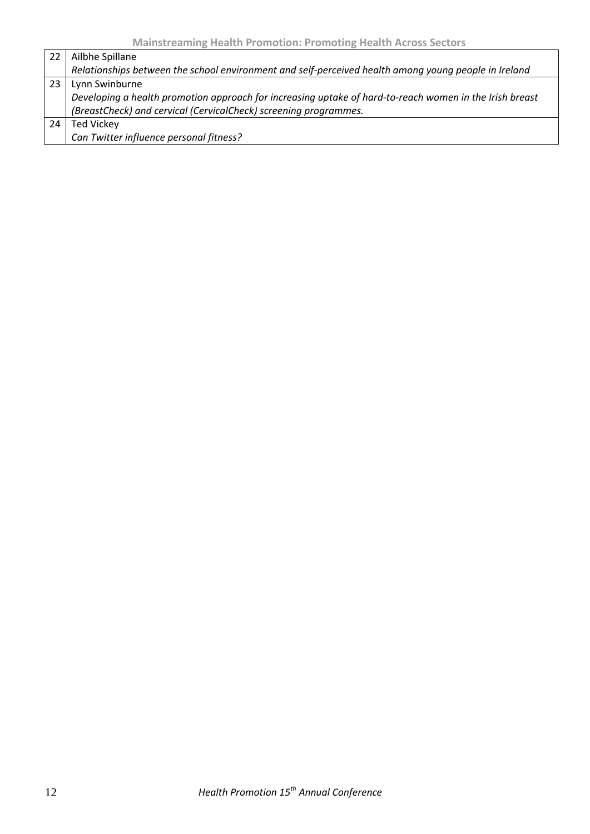| 22  | Ailbhe Spillane                                                                                         |
|-----|---------------------------------------------------------------------------------------------------------|
|     | Relationships between the school environment and self-perceived health among young people in Ireland    |
| -23 | Lynn Swinburne                                                                                          |
|     | Developing a health promotion approach for increasing uptake of hard-to-reach women in the Irish breast |
|     | (BreastCheck) and cervical (CervicalCheck) screening programmes.                                        |
| 24  | Ted Vickey                                                                                              |
|     | Can Twitter influence personal fitness?                                                                 |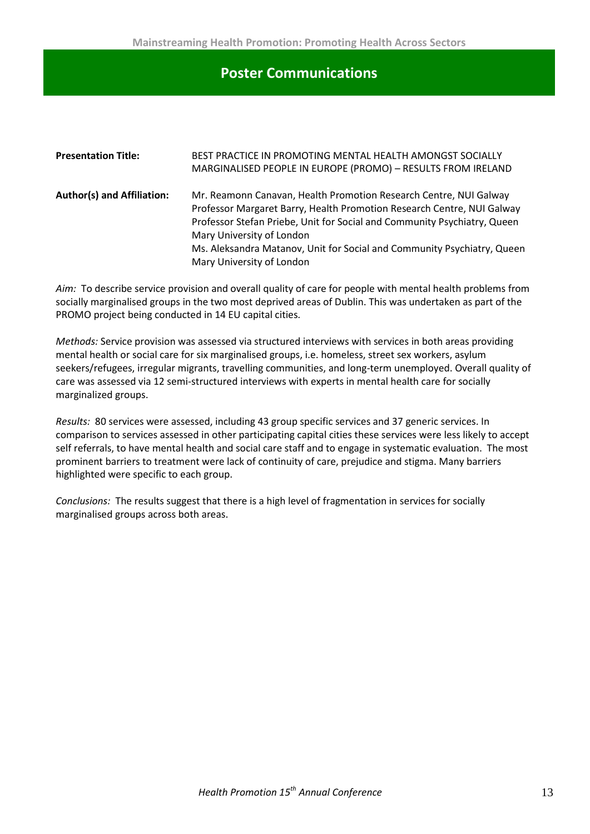### **Poster Communications**

| <b>Presentation Title:</b>        | BEST PRACTICE IN PROMOTING MENTAL HEALTH AMONGST SOCIALLY<br>MARGINALISED PEOPLE IN EUROPE (PROMO) - RESULTS FROM IRELAND |
|-----------------------------------|---------------------------------------------------------------------------------------------------------------------------|
|                                   |                                                                                                                           |
| <b>Author(s) and Affiliation:</b> | Mr. Reamonn Canavan, Health Promotion Research Centre, NUI Galway                                                         |
|                                   | Professor Margaret Barry, Health Promotion Research Centre, NUI Galway                                                    |
|                                   | Professor Stefan Priebe, Unit for Social and Community Psychiatry, Queen                                                  |
|                                   | Mary University of London                                                                                                 |
|                                   | Ms. Aleksandra Matanov, Unit for Social and Community Psychiatry, Queen                                                   |
|                                   | Mary University of London                                                                                                 |

*Aim:* To describe service provision and overall quality of care for people with mental health problems from socially marginalised groups in the two most deprived areas of Dublin. This was undertaken as part of the PROMO project being conducted in 14 EU capital cities.

*Methods:* Service provision was assessed via structured interviews with services in both areas providing mental health or social care for six marginalised groups, i.e. homeless, street sex workers, asylum seekers/refugees, irregular migrants, travelling communities, and long-term unemployed. Overall quality of care was assessed via 12 semi-structured interviews with experts in mental health care for socially marginalized groups.

*Results:* 80 services were assessed, including 43 group specific services and 37 generic services. In comparison to services assessed in other participating capital cities these services were less likely to accept self referrals, to have mental health and social care staff and to engage in systematic evaluation. The most prominent barriers to treatment were lack of continuity of care, prejudice and stigma. Many barriers highlighted were specific to each group.

*Conclusions:* The results suggest that there is a high level of fragmentation in services for socially marginalised groups across both areas.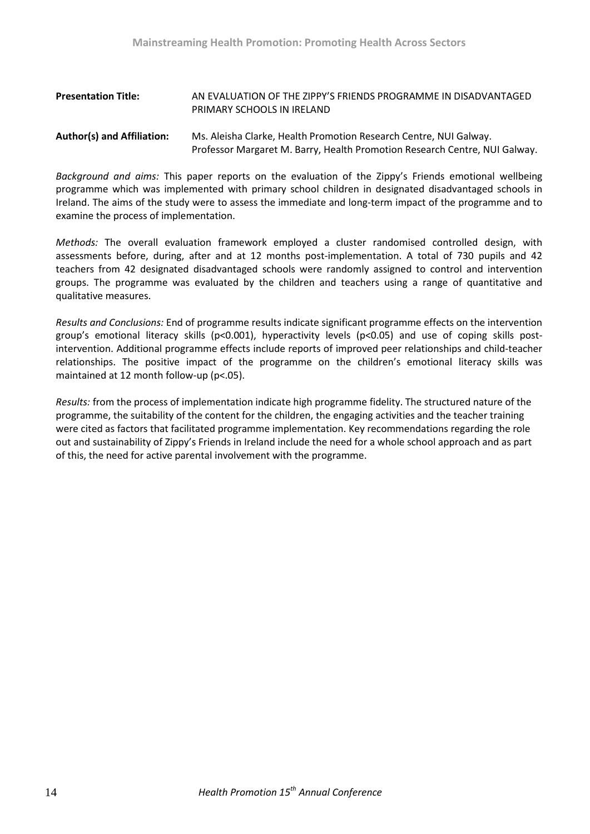#### **Presentation Title:** AN EVALUATION OF THE ZIPPY'S FRIENDS PROGRAMME IN DISADVANTAGED PRIMARY SCHOOLS IN IRELAND

#### **Author(s) and Affiliation:** Ms. Aleisha Clarke, Health Promotion Research Centre, NUI Galway. Professor Margaret M. Barry, Health Promotion Research Centre, NUI Galway.

*Background and aims:* This paper reports on the evaluation of the Zippy's Friends emotional wellbeing programme which was implemented with primary school children in designated disadvantaged schools in Ireland. The aims of the study were to assess the immediate and long-term impact of the programme and to examine the process of implementation.

*Methods:* The overall evaluation framework employed a cluster randomised controlled design, with assessments before, during, after and at 12 months post-implementation. A total of 730 pupils and 42 teachers from 42 designated disadvantaged schools were randomly assigned to control and intervention groups. The programme was evaluated by the children and teachers using a range of quantitative and qualitative measures.

*Results and Conclusions:* End of programme results indicate significant programme effects on the intervention group's emotional literacy skills ( $p<0.001$ ), hyperactivity levels ( $p<0.05$ ) and use of coping skills postintervention. Additional programme effects include reports of improved peer relationships and child-teacher relationships. The positive impact of the programme on the children's emotional literacy skills was maintained at 12 month follow-up (p<.05).

*Results:* from the process of implementation indicate high programme fidelity. The structured nature of the programme, the suitability of the content for the children, the engaging activities and the teacher training were cited as factors that facilitated programme implementation. Key recommendations regarding the role out and sustainability of Zippy's Friends in Ireland include the need for a whole school approach and as part of this, the need for active parental involvement with the programme.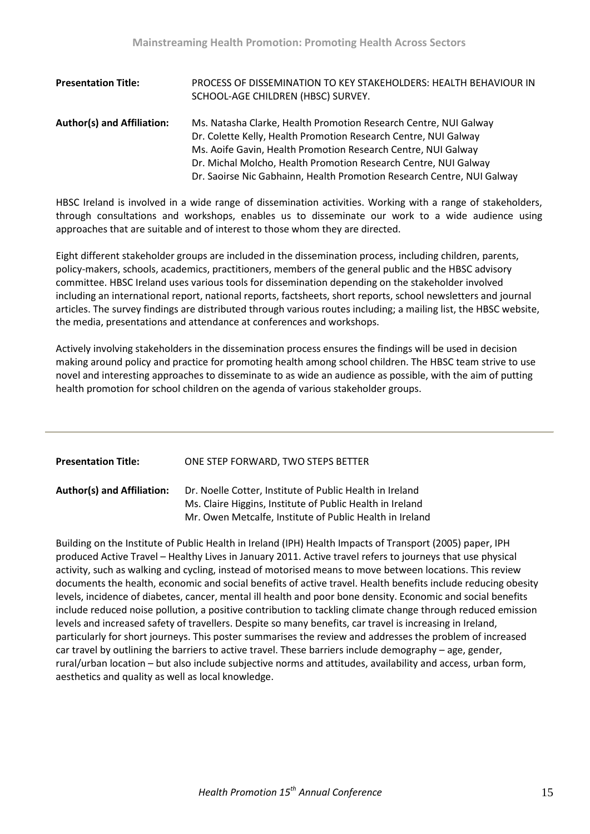| <b>Presentation Title:</b>        | PROCESS OF DISSEMINATION TO KEY STAKEHOLDERS: HEALTH BEHAVIOUR IN<br>SCHOOL-AGE CHILDREN (HBSC) SURVEY. |
|-----------------------------------|---------------------------------------------------------------------------------------------------------|
| <b>Author(s) and Affiliation:</b> | Ms. Natasha Clarke, Health Promotion Research Centre, NUI Galway                                        |
|                                   | Dr. Colette Kelly, Health Promotion Research Centre, NUI Galway                                         |
|                                   | Ms. Aoife Gavin, Health Promotion Research Centre, NUI Galway                                           |
|                                   | Dr. Michal Molcho, Health Promotion Research Centre, NUI Galway                                         |
|                                   | Dr. Saoirse Nic Gabhainn, Health Promotion Research Centre, NUI Galway                                  |

HBSC Ireland is involved in a wide range of dissemination activities. Working with a range of stakeholders, through consultations and workshops, enables us to disseminate our work to a wide audience using approaches that are suitable and of interest to those whom they are directed.

Eight different stakeholder groups are included in the dissemination process, including children, parents, policy-makers, schools, academics, practitioners, members of the general public and the HBSC advisory committee. HBSC Ireland uses various tools for dissemination depending on the stakeholder involved including an international report, national reports, factsheets, short reports, school newsletters and journal articles. The survey findings are distributed through various routes including; a mailing list, the HBSC website, the media, presentations and attendance at conferences and workshops.

Actively involving stakeholders in the dissemination process ensures the findings will be used in decision making around policy and practice for promoting health among school children. The HBSC team strive to use novel and interesting approaches to disseminate to as wide an audience as possible, with the aim of putting health promotion for school children on the agenda of various stakeholder groups.

| <b>Presentation Title:</b>        | ONE STEP FORWARD, TWO STEPS BETTER                                                                                                                                                |
|-----------------------------------|-----------------------------------------------------------------------------------------------------------------------------------------------------------------------------------|
| <b>Author(s) and Affiliation:</b> | Dr. Noelle Cotter, Institute of Public Health in Ireland<br>Ms. Claire Higgins, Institute of Public Health in Ireland<br>Mr. Owen Metcalfe, Institute of Public Health in Ireland |

Building on the Institute of Public Health in Ireland (IPH) Health Impacts of Transport (2005) paper, IPH produced Active Travel – Healthy Lives in January 2011. Active travel refers to journeys that use physical activity, such as walking and cycling, instead of motorised means to move between locations. This review documents the health, economic and social benefits of active travel. Health benefits include reducing obesity levels, incidence of diabetes, cancer, mental ill health and poor bone density. Economic and social benefits include reduced noise pollution, a positive contribution to tackling climate change through reduced emission levels and increased safety of travellers. Despite so many benefits, car travel is increasing in Ireland, particularly for short journeys. This poster summarises the review and addresses the problem of increased car travel by outlining the barriers to active travel. These barriers include demography – age, gender, rural/urban location – but also include subjective norms and attitudes, availability and access, urban form, aesthetics and quality as well as local knowledge.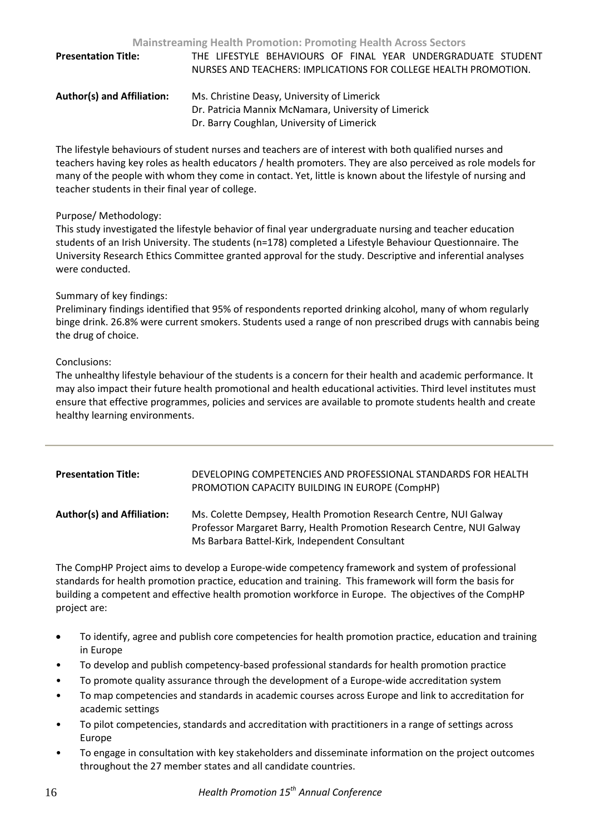| <b>Presentation Title:</b>        | THE LIFESTYLE BEHAVIOURS OF FINAL YEAR UNDERGRADUATE STUDENT    |
|-----------------------------------|-----------------------------------------------------------------|
|                                   | NURSES AND TEACHERS: IMPLICATIONS FOR COLLEGE HEALTH PROMOTION. |
| <b>Author(s) and Affiliation:</b> | Ms. Christine Deasy, University of Limerick                     |
|                                   | Dr. Patricia Mannix McNamara, University of Limerick            |
|                                   | Dr. Barry Coughlan, University of Limerick                      |

The lifestyle behaviours of student nurses and teachers are of interest with both qualified nurses and teachers having key roles as health educators / health promoters. They are also perceived as role models for many of the people with whom they come in contact. Yet, little is known about the lifestyle of nursing and teacher students in their final year of college.

#### Purpose/ Methodology:

This study investigated the lifestyle behavior of final year undergraduate nursing and teacher education students of an Irish University. The students (n=178) completed a Lifestyle Behaviour Questionnaire. The University Research Ethics Committee granted approval for the study. Descriptive and inferential analyses were conducted.

#### Summary of key findings:

Preliminary findings identified that 95% of respondents reported drinking alcohol, many of whom regularly binge drink. 26.8% were current smokers. Students used a range of non prescribed drugs with cannabis being the drug of choice.

#### Conclusions:

The unhealthy lifestyle behaviour of the students is a concern for their health and academic performance. It may also impact their future health promotional and health educational activities. Third level institutes must ensure that effective programmes, policies and services are available to promote students health and create healthy learning environments.

| <b>Presentation Title:</b>        | DEVELOPING COMPETENCIES AND PROFESSIONAL STANDARDS FOR HEALTH<br>PROMOTION CAPACITY BUILDING IN EUROPE (CompHP)                                                                               |
|-----------------------------------|-----------------------------------------------------------------------------------------------------------------------------------------------------------------------------------------------|
| <b>Author(s) and Affiliation:</b> | Ms. Colette Dempsey, Health Promotion Research Centre, NUI Galway<br>Professor Margaret Barry, Health Promotion Research Centre, NUI Galway<br>Ms Barbara Battel-Kirk, Independent Consultant |

The CompHP Project aims to develop a Europe-wide competency framework and system of professional standards for health promotion practice, education and training. This framework will form the basis for building a competent and effective health promotion workforce in Europe. The objectives of the CompHP project are:

- To identify, agree and publish core competencies for health promotion practice, education and training in Europe
- To develop and publish competency-based professional standards for health promotion practice
- To promote quality assurance through the development of a Europe-wide accreditation system
- To map competencies and standards in academic courses across Europe and link to accreditation for academic settings
- To pilot competencies, standards and accreditation with practitioners in a range of settings across Europe
- To engage in consultation with key stakeholders and disseminate information on the project outcomes throughout the 27 member states and all candidate countries.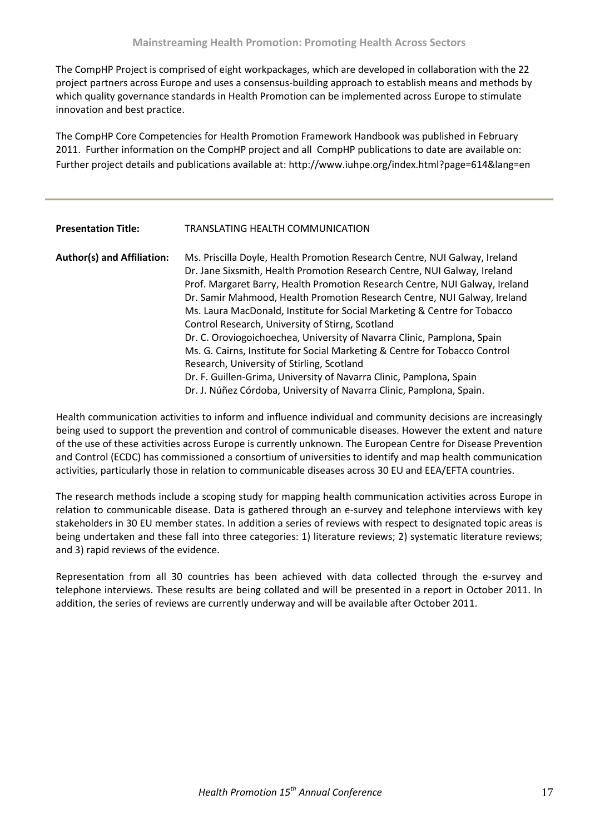The CompHP Project is comprised of eight workpackages, which are developed in collaboration with the 22 project partners across Europe and uses a consensus-building approach to establish means and methods by which quality governance standards in Health Promotion can be implemented across Europe to stimulate innovation and best practice.

The CompHP Core Competencies for Health Promotion Framework Handbook was published in February 2011. Further information on the CompHP project and all CompHP publications to date are available on: Further project details and publications available at: http://www.iuhpe.org/index.html?page=614&lang=en

#### **Presentation Title:** TRANSLATING HEALTH COMMUNICATION

| <b>Author(s) and Affiliation:</b> | Ms. Priscilla Doyle, Health Promotion Research Centre, NUI Galway, Ireland  |
|-----------------------------------|-----------------------------------------------------------------------------|
|                                   | Dr. Jane Sixsmith, Health Promotion Research Centre, NUI Galway, Ireland    |
|                                   | Prof. Margaret Barry, Health Promotion Research Centre, NUI Galway, Ireland |
|                                   | Dr. Samir Mahmood, Health Promotion Research Centre, NUI Galway, Ireland    |
|                                   | Ms. Laura MacDonald, Institute for Social Marketing & Centre for Tobacco    |
|                                   | Control Research, University of Stirng, Scotland                            |
|                                   | Dr. C. Oroviogoichoechea, University of Navarra Clinic, Pamplona, Spain     |
|                                   | Ms. G. Cairns, Institute for Social Marketing & Centre for Tobacco Control  |
|                                   | Research, University of Stirling, Scotland                                  |
|                                   | Dr. F. Guillen-Grima, University of Navarra Clinic, Pamplona, Spain         |
|                                   | Dr. J. Núñez Córdoba, University of Navarra Clinic, Pamplona, Spain.        |

Health communication activities to inform and influence individual and community decisions are increasingly being used to support the prevention and control of communicable diseases. However the extent and nature of the use of these activities across Europe is currently unknown. The European Centre for Disease Prevention and Control (ECDC) has commissioned a consortium of universities to identify and map health communication activities, particularly those in relation to communicable diseases across 30 EU and EEA/EFTA countries.

The research methods include a scoping study for mapping health communication activities across Europe in relation to communicable disease. Data is gathered through an e-survey and telephone interviews with key stakeholders in 30 EU member states. In addition a series of reviews with respect to designated topic areas is being undertaken and these fall into three categories: 1) literature reviews; 2) systematic literature reviews; and 3) rapid reviews of the evidence.

Representation from all 30 countries has been achieved with data collected through the e-survey and telephone interviews. These results are being collated and will be presented in a report in October 2011. In addition, the series of reviews are currently underway and will be available after October 2011.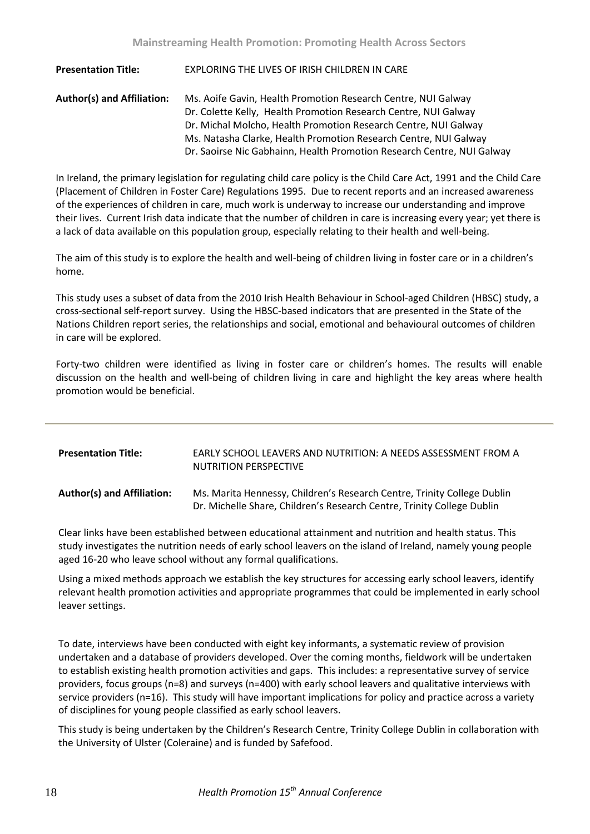**Presentation Title:** EXPLORING THE LIVES OF IRISH CHILDREN IN CARE **Author(s) and Affiliation:** Ms. Aoife Gavin, Health Promotion Research Centre, NUI Galway Dr. Colette Kelly, Health Promotion Research Centre, NUI Galway Dr. Michal Molcho, Health Promotion Research Centre, NUI Galway Ms. Natasha Clarke, Health Promotion Research Centre, NUI Galway Dr. Saoirse Nic Gabhainn, Health Promotion Research Centre, NUI Galway

In Ireland, the primary legislation for regulating child care policy is the Child Care Act, 1991 and the Child Care (Placement of Children in Foster Care) Regulations 1995. Due to recent reports and an increased awareness of the experiences of children in care, much work is underway to increase our understanding and improve their lives. Current Irish data indicate that the number of children in care is increasing every year; yet there is a lack of data available on this population group, especially relating to their health and well-being.

The aim of this study is to explore the health and well-being of children living in foster care or in a children's home.

This study uses a subset of data from the 2010 Irish Health Behaviour in School-aged Children (HBSC) study, a cross-sectional self-report survey. Using the HBSC-based indicators that are presented in the State of the Nations Children report series, the relationships and social, emotional and behavioural outcomes of children in care will be explored.

Forty-two children were identified as living in foster care or children's homes. The results will enable discussion on the health and well-being of children living in care and highlight the key areas where health promotion would be beneficial.

| <b>Presentation Title:</b>        | EARLY SCHOOL LEAVERS AND NUTRITION: A NEEDS ASSESSMENT FROM A<br><b>NUTRITION PERSPECTIVE</b>                                                     |
|-----------------------------------|---------------------------------------------------------------------------------------------------------------------------------------------------|
| <b>Author(s) and Affiliation:</b> | Ms. Marita Hennessy, Children's Research Centre, Trinity College Dublin<br>Dr. Michelle Share, Children's Research Centre, Trinity College Dublin |

Clear links have been established between educational attainment and nutrition and health status. This study investigates the nutrition needs of early school leavers on the island of Ireland, namely young people aged 16-20 who leave school without any formal qualifications.

Using a mixed methods approach we establish the key structures for accessing early school leavers, identify relevant health promotion activities and appropriate programmes that could be implemented in early school leaver settings.

To date, interviews have been conducted with eight key informants, a systematic review of provision undertaken and a database of providers developed. Over the coming months, fieldwork will be undertaken to establish existing health promotion activities and gaps. This includes: a representative survey of service providers, focus groups (n=8) and surveys (n=400) with early school leavers and qualitative interviews with service providers (n=16). This study will have important implications for policy and practice across a variety of disciplines for young people classified as early school leavers.

This study is being undertaken by the Children's Research Centre, Trinity College Dublin in collaboration with the University of Ulster (Coleraine) and is funded by Safefood.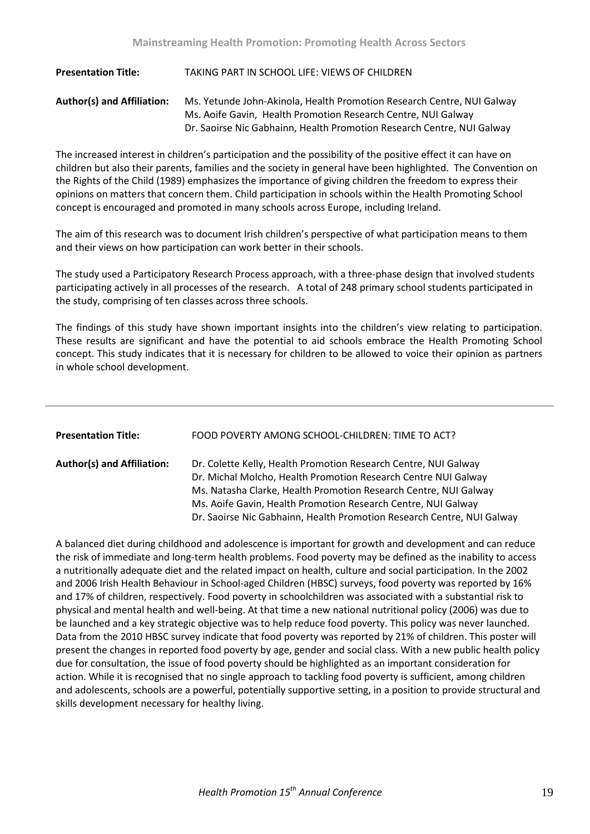**Presentation Title:** TAKING PART IN SCHOOL LIFE: VIEWS OF CHILDREN **Author(s) and Affiliation:** Ms. Yetunde John-Akinola, Health Promotion Research Centre, NUI Galway Ms. Aoife Gavin, Health Promotion Research Centre, NUI Galway Dr. Saoirse Nic Gabhainn, Health Promotion Research Centre, NUI Galway

The increased interest in children's participation and the possibility of the positive effect it can have on children but also their parents, families and the society in general have been highlighted. The Convention on the Rights of the Child (1989) emphasizes the importance of giving children the freedom to express their opinions on matters that concern them. Child participation in schools within the Health Promoting School concept is encouraged and promoted in many schools across Europe, including Ireland.

The aim of this research was to document Irish children's perspective of what participation means to them and their views on how participation can work better in their schools.

The study used a Participatory Research Process approach, with a three-phase design that involved students participating actively in all processes of the research. A total of 248 primary school students participated in the study, comprising of ten classes across three schools.

The findings of this study have shown important insights into the children's view relating to participation. These results are significant and have the potential to aid schools embrace the Health Promoting School concept. This study indicates that it is necessary for children to be allowed to voice their opinion as partners in whole school development.

| <b>Presentation Title:</b>        | FOOD POVERTY AMONG SCHOOL-CHILDREN: TIME TO ACT?                                                                                                                                                                                                                                                                                                 |
|-----------------------------------|--------------------------------------------------------------------------------------------------------------------------------------------------------------------------------------------------------------------------------------------------------------------------------------------------------------------------------------------------|
| <b>Author(s) and Affiliation:</b> | Dr. Colette Kelly, Health Promotion Research Centre, NUI Galway<br>Dr. Michal Molcho, Health Promotion Research Centre NUI Galway<br>Ms. Natasha Clarke, Health Promotion Research Centre, NUI Galway<br>Ms. Aoife Gavin, Health Promotion Research Centre, NUI Galway<br>Dr. Saoirse Nic Gabhainn, Health Promotion Research Centre, NUI Galway |

A balanced diet during childhood and adolescence is important for growth and development and can reduce the risk of immediate and long-term health problems. Food poverty may be defined as the inability to access a nutritionally adequate diet and the related impact on health, culture and social participation. In the 2002 and 2006 Irish Health Behaviour in School-aged Children (HBSC) surveys, food poverty was reported by 16% and 17% of children, respectively. Food poverty in schoolchildren was associated with a substantial risk to physical and mental health and well-being. At that time a new national nutritional policy (2006) was due to be launched and a key strategic objective was to help reduce food poverty. This policy was never launched. Data from the 2010 HBSC survey indicate that food poverty was reported by 21% of children. This poster will present the changes in reported food poverty by age, gender and social class. With a new public health policy due for consultation, the issue of food poverty should be highlighted as an important consideration for action. While it is recognised that no single approach to tackling food poverty is sufficient, among children and adolescents, schools are a powerful, potentially supportive setting, in a position to provide structural and skills development necessary for healthy living.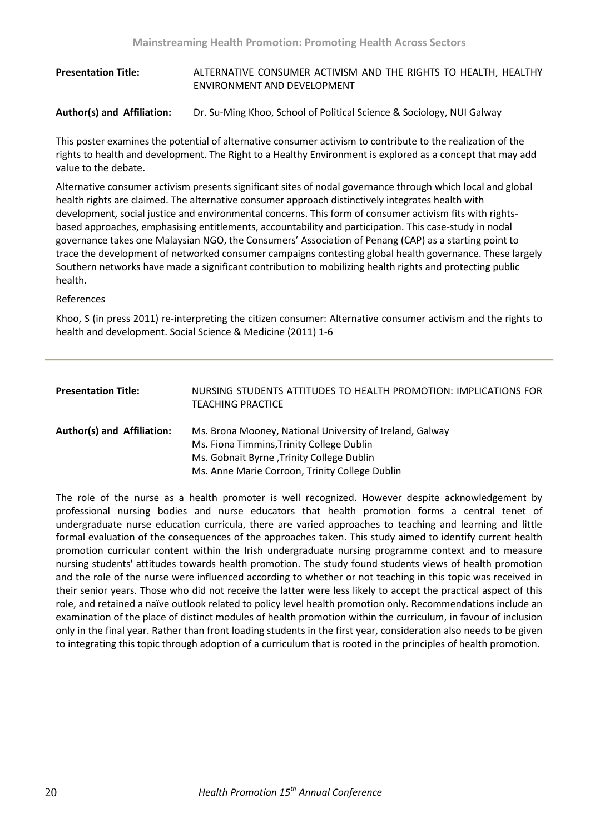### **Presentation Title:** ALTERNATIVE CONSUMER ACTIVISM AND THE RIGHTS TO HEALTH, HEALTHY ENVIRONMENT AND DEVELOPMENT

**Author(s) and Affiliation:** Dr. Su-Ming Khoo, School of Political Science & Sociology, NUI Galway

This poster examines the potential of alternative consumer activism to contribute to the realization of the rights to health and development. The Right to a Healthy Environment is explored as a concept that may add value to the debate.

Alternative consumer activism presents significant sites of nodal governance through which local and global health rights are claimed. The alternative consumer approach distinctively integrates health with development, social justice and environmental concerns. This form of consumer activism fits with rightsbased approaches, emphasising entitlements, accountability and participation. This case-study in nodal governance takes one Malaysian NGO, the Consumers' Association of Penang (CAP) as a starting point to trace the development of networked consumer campaigns contesting global health governance. These largely Southern networks have made a significant contribution to mobilizing health rights and protecting public health.

#### References

Khoo, S (in press 2011) re-interpreting the citizen consumer: Alternative consumer activism and the rights to health and development. Social Science & Medicine (2011) 1-6

| <b>Presentation Title:</b> | NURSING STUDENTS ATTITUDES TO HEALTH PROMOTION: IMPLICATIONS FOR<br><b>TEACHING PRACTICE</b>          |
|----------------------------|-------------------------------------------------------------------------------------------------------|
| Author(s) and Affiliation: | Ms. Brona Mooney, National University of Ireland, Galway<br>Ms. Fiona Timmins, Trinity College Dublin |
|                            | Ms. Gobnait Byrne, Trinity College Dublin                                                             |
|                            | Ms. Anne Marie Corroon, Trinity College Dublin                                                        |

The role of the nurse as a health promoter is well recognized. However despite acknowledgement by professional nursing bodies and nurse educators that health promotion forms a central tenet of undergraduate nurse education curricula, there are varied approaches to teaching and learning and little formal evaluation of the consequences of the approaches taken. This study aimed to identify current health promotion curricular content within the Irish undergraduate nursing programme context and to measure nursing students' attitudes towards health promotion. The study found students views of health promotion and the role of the nurse were influenced according to whether or not teaching in this topic was received in their senior years. Those who did not receive the latter were less likely to accept the practical aspect of this role, and retained a naïve outlook related to policy level health promotion only. Recommendations include an examination of the place of distinct modules of health promotion within the curriculum, in favour of inclusion only in the final year. Rather than front loading students in the first year, consideration also needs to be given to integrating this topic through adoption of a curriculum that is rooted in the principles of health promotion.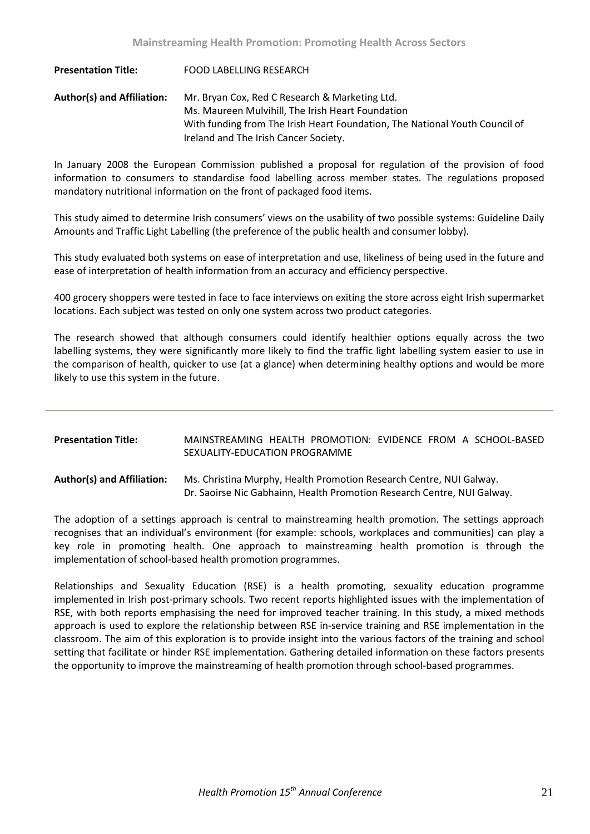**Presentation Title:** FOOD LABELLING RESEARCH **Author(s) and Affiliation:** Mr. Bryan Cox, Red C Research & Marketing Ltd. Ms. Maureen Mulvihill, The Irish Heart Foundation With funding from The Irish Heart Foundation, The National Youth Council of Ireland and The Irish Cancer Society.

In January 2008 the European Commission published a proposal for regulation of the provision of food information to consumers to standardise food labelling across member states. The regulations proposed mandatory nutritional information on the front of packaged food items.

This study aimed to determine Irish consumers' views on the usability of two possible systems: Guideline Daily Amounts and Traffic Light Labelling (the preference of the public health and consumer lobby).

This study evaluated both systems on ease of interpretation and use, likeliness of being used in the future and ease of interpretation of health information from an accuracy and efficiency perspective.

400 grocery shoppers were tested in face to face interviews on exiting the store across eight Irish supermarket locations. Each subject was tested on only one system across two product categories.

The research showed that although consumers could identify healthier options equally across the two labelling systems, they were significantly more likely to find the traffic light labelling system easier to use in the comparison of health, quicker to use (at a glance) when determining healthy options and would be more likely to use this system in the future.

| <b>Presentation Title:</b> | MAINSTREAMING HEALTH PROMOTION: EVIDENCE FROM A SCHOOL-BASED<br>SEXUALITY-EDUCATION PROGRAMME                                                  |
|----------------------------|------------------------------------------------------------------------------------------------------------------------------------------------|
| Author(s) and Affiliation: | Ms. Christina Murphy, Health Promotion Research Centre, NUI Galway.<br>Dr. Saoirse Nic Gabhainn, Health Promotion Research Centre, NUI Galway. |

The adoption of a settings approach is central to mainstreaming health promotion. The settings approach recognises that an individual's environment (for example: schools, workplaces and communities) can play a key role in promoting health. One approach to mainstreaming health promotion is through the implementation of school-based health promotion programmes.

Relationships and Sexuality Education (RSE) is a health promoting, sexuality education programme implemented in Irish post-primary schools. Two recent reports highlighted issues with the implementation of RSE, with both reports emphasising the need for improved teacher training. In this study, a mixed methods approach is used to explore the relationship between RSE in-service training and RSE implementation in the classroom. The aim of this exploration is to provide insight into the various factors of the training and school setting that facilitate or hinder RSE implementation. Gathering detailed information on these factors presents the opportunity to improve the mainstreaming of health promotion through school-based programmes.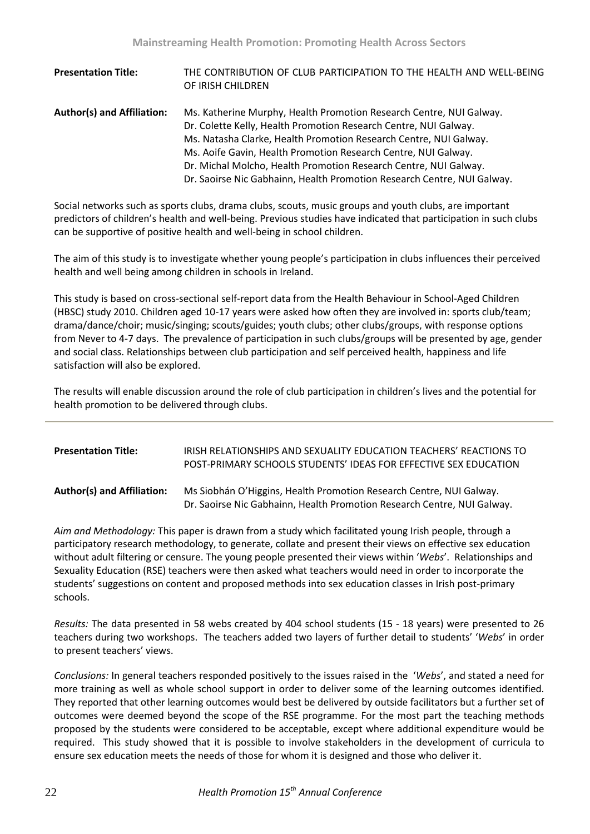| <b>Presentation Title:</b>        | THE CONTRIBUTION OF CLUB PARTICIPATION TO THE HEALTH AND WELL-BEING<br>OF IRISH CHILDREN                                                |
|-----------------------------------|-----------------------------------------------------------------------------------------------------------------------------------------|
| <b>Author(s) and Affiliation:</b> | Ms. Katherine Murphy, Health Promotion Research Centre, NUI Galway.<br>Dr. Colette Kelly, Health Promotion Research Centre, NUI Galway. |
|                                   | Ms. Natasha Clarke, Health Promotion Research Centre, NUI Galway.                                                                       |
|                                   | Ms. Aoife Gavin, Health Promotion Research Centre, NUI Galway.                                                                          |
|                                   | Dr. Michal Molcho, Health Promotion Research Centre, NUI Galway.                                                                        |
|                                   | Dr. Saoirse Nic Gabhainn, Health Promotion Research Centre, NUI Galway.                                                                 |

Social networks such as sports clubs, drama clubs, scouts, music groups and youth clubs, are important predictors of children's health and well-being. Previous studies have indicated that participation in such clubs can be supportive of positive health and well-being in school children.

The aim of this study is to investigate whether young people's participation in clubs influences their perceived health and well being among children in schools in Ireland.

This study is based on cross-sectional self-report data from the Health Behaviour in School-Aged Children (HBSC) study 2010. Children aged 10-17 years were asked how often they are involved in: sports club/team; drama/dance/choir; music/singing; scouts/guides; youth clubs; other clubs/groups, with response options from Never to 4-7 days. The prevalence of participation in such clubs/groups will be presented by age, gender and social class. Relationships between club participation and self perceived health, happiness and life satisfaction will also be explored.

The results will enable discussion around the role of club participation in children's lives and the potential for health promotion to be delivered through clubs.

| <b>Presentation Title:</b>        | <b>IRISH RELATIONSHIPS AND SEXUALITY EDUCATION TEACHERS' REACTIONS TO</b><br>POST-PRIMARY SCHOOLS STUDENTS' IDEAS FOR EFFECTIVE SEX EDUCATION  |
|-----------------------------------|------------------------------------------------------------------------------------------------------------------------------------------------|
| <b>Author(s) and Affiliation:</b> | Ms Siobhán O'Higgins, Health Promotion Research Centre, NUI Galway.<br>Dr. Saoirse Nic Gabhainn, Health Promotion Research Centre, NUI Galway. |

*Aim and Methodology:* This paper is drawn from a study which facilitated young Irish people, through a participatory research methodology, to generate, collate and present their views on effective sex education without adult filtering or censure. The young people presented their views within '*Webs*'. Relationships and Sexuality Education (RSE) teachers were then asked what teachers would need in order to incorporate the students' suggestions on content and proposed methods into sex education classes in Irish post-primary schools.

*Results:* The data presented in 58 webs created by 404 school students (15 - 18 years) were presented to 26 teachers during two workshops. The teachers added two layers of further detail to students' '*Webs*' in order to present teachers' views.

*Conclusions:* In general teachers responded positively to the issues raised in the '*Webs*', and stated a need for more training as well as whole school support in order to deliver some of the learning outcomes identified. They reported that other learning outcomes would best be delivered by outside facilitators but a further set of outcomes were deemed beyond the scope of the RSE programme. For the most part the teaching methods proposed by the students were considered to be acceptable, except where additional expenditure would be required. This study showed that it is possible to involve stakeholders in the development of curricula to ensure sex education meets the needs of those for whom it is designed and those who deliver it.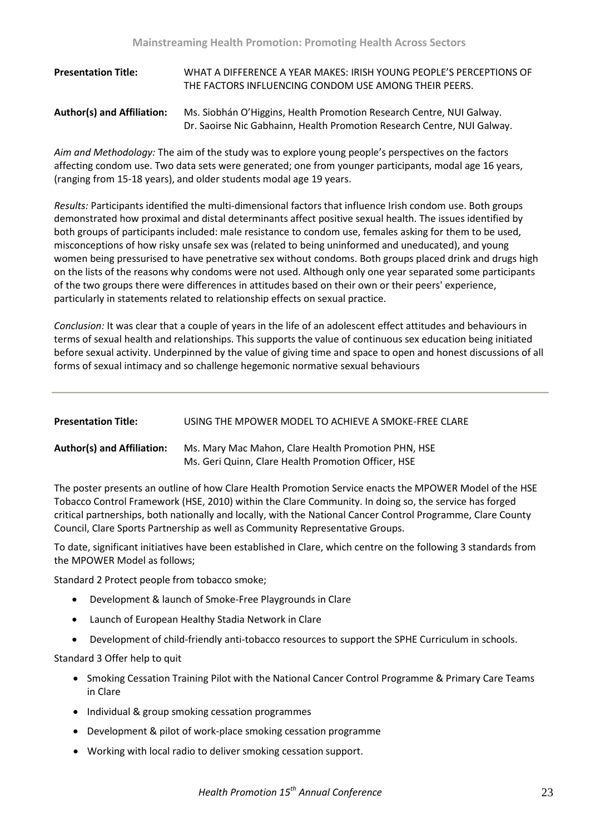| <b>Presentation Title:</b>        | WHAT A DIFFERENCE A YEAR MAKES: IRISH YOUNG PEOPLE'S PERCEPTIONS OF<br>THE FACTORS INFLUENCING CONDOM USE AMONG THEIR PEERS.                    |
|-----------------------------------|-------------------------------------------------------------------------------------------------------------------------------------------------|
| <b>Author(s) and Affiliation:</b> | Ms. Siobhán O'Higgins, Health Promotion Research Centre, NUI Galway.<br>Dr. Saoirse Nic Gabhainn, Health Promotion Research Centre, NUI Galway. |

*Aim and Methodology:* The aim of the study was to explore young people's perspectives on the factors affecting condom use. Two data sets were generated; one from younger participants, modal age 16 years, (ranging from 15-18 years), and older students modal age 19 years.

*Results:* Participants identified the multi-dimensional factors that influence Irish condom use. Both groups demonstrated how proximal and distal determinants affect positive sexual health. The issues identified by both groups of participants included: male resistance to condom use, females asking for them to be used, misconceptions of how risky unsafe sex was (related to being uninformed and uneducated), and young women being pressurised to have penetrative sex without condoms. Both groups placed drink and drugs high on the lists of the reasons why condoms were not used. Although only one year separated some participants of the two groups there were differences in attitudes based on their own or their peers' experience, particularly in statements related to relationship effects on sexual practice.

*Conclusion:* It was clear that a couple of years in the life of an adolescent effect attitudes and behaviours in terms of sexual health and relationships. This supports the value of continuous sex education being initiated before sexual activity. Underpinned by the value of giving time and space to open and honest discussions of all forms of sexual intimacy and so challenge hegemonic normative sexual behaviours

| <b>Presentation Title:</b>        | USING THE MPOWER MODEL TO ACHIEVE A SMOKE-FREE CLARE                                                       |
|-----------------------------------|------------------------------------------------------------------------------------------------------------|
| <b>Author(s) and Affiliation:</b> | Ms. Mary Mac Mahon, Clare Health Promotion PHN, HSE<br>Ms. Geri Quinn. Clare Health Promotion Officer. HSE |

The poster presents an outline of how Clare Health Promotion Service enacts the MPOWER Model of the HSE Tobacco Control Framework (HSE, 2010) within the Clare Community. In doing so, the service has forged critical partnerships, both nationally and locally, with the National Cancer Control Programme, Clare County Council, Clare Sports Partnership as well as Community Representative Groups.

To date, significant initiatives have been established in Clare, which centre on the following 3 standards from the MPOWER Model as follows;

Standard 2 Protect people from tobacco smoke;

- Development & launch of Smoke-Free Playgrounds in Clare
- Launch of European Healthy Stadia Network in Clare
- Development of child-friendly anti-tobacco resources to support the SPHE Curriculum in schools.

Standard 3 Offer help to quit

- Smoking Cessation Training Pilot with the National Cancer Control Programme & Primary Care Teams in Clare
- Individual & group smoking cessation programmes
- Development & pilot of work-place smoking cessation programme
- Working with local radio to deliver smoking cessation support.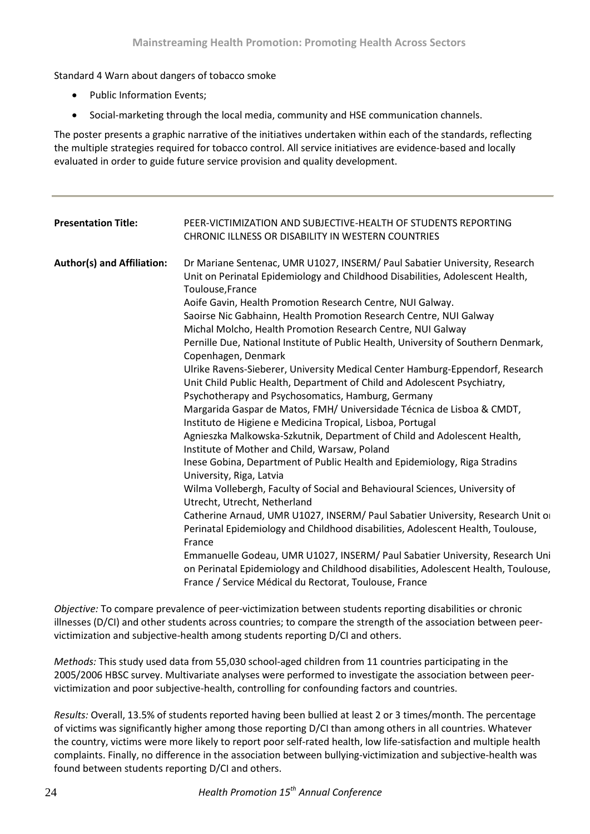Standard 4 Warn about dangers of tobacco smoke

- Public Information Events;
- Social-marketing through the local media, community and HSE communication channels.

The poster presents a graphic narrative of the initiatives undertaken within each of the standards, reflecting the multiple strategies required for tobacco control. All service initiatives are evidence-based and locally evaluated in order to guide future service provision and quality development.

| <b>Presentation Title:</b>        | PEER-VICTIMIZATION AND SUBJECTIVE-HEALTH OF STUDENTS REPORTING<br>CHRONIC ILLNESS OR DISABILITY IN WESTERN COUNTRIES                                                                                                                                                                                                                                                                                                                                                                                                                                                                                                                                                                                                                                                                                                                                                                                                                                                                                                                                                                                                                                                                                                                                                                                                                                                                                                                                                                                                                                                                                                            |
|-----------------------------------|---------------------------------------------------------------------------------------------------------------------------------------------------------------------------------------------------------------------------------------------------------------------------------------------------------------------------------------------------------------------------------------------------------------------------------------------------------------------------------------------------------------------------------------------------------------------------------------------------------------------------------------------------------------------------------------------------------------------------------------------------------------------------------------------------------------------------------------------------------------------------------------------------------------------------------------------------------------------------------------------------------------------------------------------------------------------------------------------------------------------------------------------------------------------------------------------------------------------------------------------------------------------------------------------------------------------------------------------------------------------------------------------------------------------------------------------------------------------------------------------------------------------------------------------------------------------------------------------------------------------------------|
| <b>Author(s) and Affiliation:</b> | Dr Mariane Sentenac, UMR U1027, INSERM/ Paul Sabatier University, Research<br>Unit on Perinatal Epidemiology and Childhood Disabilities, Adolescent Health,<br>Toulouse, France<br>Aoife Gavin, Health Promotion Research Centre, NUI Galway.<br>Saoirse Nic Gabhainn, Health Promotion Research Centre, NUI Galway<br>Michal Molcho, Health Promotion Research Centre, NUI Galway<br>Pernille Due, National Institute of Public Health, University of Southern Denmark,<br>Copenhagen, Denmark<br>Ulrike Ravens-Sieberer, University Medical Center Hamburg-Eppendorf, Research<br>Unit Child Public Health, Department of Child and Adolescent Psychiatry,<br>Psychotherapy and Psychosomatics, Hamburg, Germany<br>Margarida Gaspar de Matos, FMH/ Universidade Técnica de Lisboa & CMDT,<br>Instituto de Higiene e Medicina Tropical, Lisboa, Portugal<br>Agnieszka Malkowska-Szkutnik, Department of Child and Adolescent Health,<br>Institute of Mother and Child, Warsaw, Poland<br>Inese Gobina, Department of Public Health and Epidemiology, Riga Stradins<br>University, Riga, Latvia<br>Wilma Vollebergh, Faculty of Social and Behavioural Sciences, University of<br>Utrecht, Utrecht, Netherland<br>Catherine Arnaud, UMR U1027, INSERM/ Paul Sabatier University, Research Unit of<br>Perinatal Epidemiology and Childhood disabilities, Adolescent Health, Toulouse,<br>France<br>Emmanuelle Godeau, UMR U1027, INSERM/ Paul Sabatier University, Research Uni<br>on Perinatal Epidemiology and Childhood disabilities, Adolescent Health, Toulouse,<br>France / Service Médical du Rectorat, Toulouse, France |

*Objective:* To compare prevalence of peer-victimization between students reporting disabilities or chronic illnesses (D/CI) and other students across countries; to compare the strength of the association between peervictimization and subjective-health among students reporting D/CI and others.

*Methods:* This study used data from 55,030 school-aged children from 11 countries participating in the 2005/2006 HBSC survey. Multivariate analyses were performed to investigate the association between peervictimization and poor subjective-health, controlling for confounding factors and countries.

*Results:* Overall, 13.5% of students reported having been bullied at least 2 or 3 times/month. The percentage of victims was significantly higher among those reporting D/CI than among others in all countries. Whatever the country, victims were more likely to report poor self-rated health, low life-satisfaction and multiple health complaints. Finally, no difference in the association between bullying-victimization and subjective-health was found between students reporting D/CI and others.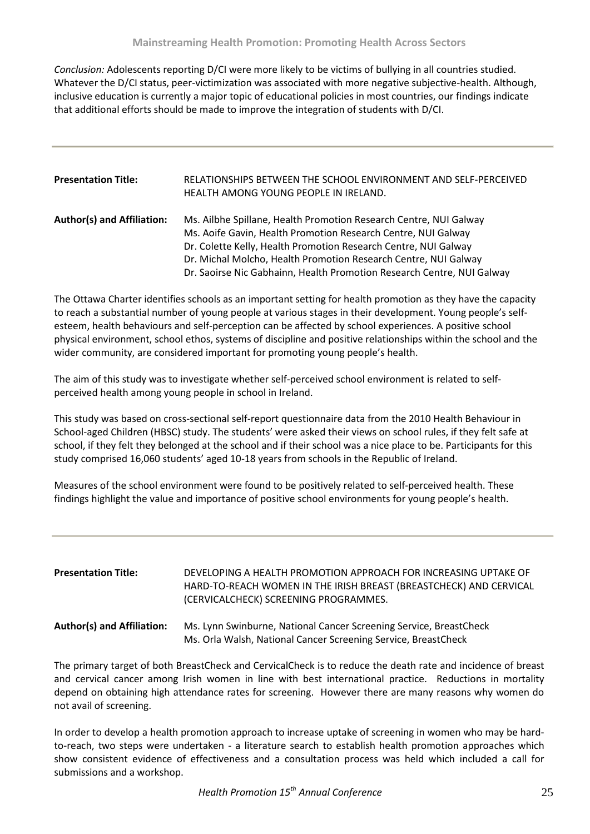*Conclusion:* Adolescents reporting D/CI were more likely to be victims of bullying in all countries studied. Whatever the D/CI status, peer-victimization was associated with more negative subjective-health. Although, inclusive education is currently a major topic of educational policies in most countries, our findings indicate that additional efforts should be made to improve the integration of students with D/CI.

| <b>Presentation Title:</b>        | RELATIONSHIPS BETWEEN THE SCHOOL ENVIRONMENT AND SELF-PERCEIVED<br>HEALTH AMONG YOUNG PEOPLE IN IRELAND.                           |
|-----------------------------------|------------------------------------------------------------------------------------------------------------------------------------|
| <b>Author(s) and Affiliation:</b> | Ms. Ailbhe Spillane, Health Promotion Research Centre, NUI Galway<br>Ms. Aoife Gavin, Health Promotion Research Centre, NUI Galway |
|                                   | Dr. Colette Kelly, Health Promotion Research Centre, NUI Galway                                                                    |
|                                   | Dr. Michal Molcho, Health Promotion Research Centre, NUI Galway                                                                    |
|                                   | Dr. Saoirse Nic Gabhainn, Health Promotion Research Centre, NUI Galway                                                             |

The Ottawa Charter identifies schools as an important setting for health promotion as they have the capacity to reach a substantial number of young people at various stages in their development. Young people's selfesteem, health behaviours and self-perception can be affected by school experiences. A positive school physical environment, school ethos, systems of discipline and positive relationships within the school and the wider community, are considered important for promoting young people's health.

The aim of this study was to investigate whether self-perceived school environment is related to selfperceived health among young people in school in Ireland.

This study was based on cross-sectional self-report questionnaire data from the 2010 Health Behaviour in School-aged Children (HBSC) study. The students' were asked their views on school rules, if they felt safe at school, if they felt they belonged at the school and if their school was a nice place to be. Participants for this study comprised 16,060 students' aged 10-18 years from schools in the Republic of Ireland.

Measures of the school environment were found to be positively related to self-perceived health. These findings highlight the value and importance of positive school environments for young people's health.

| <b>Presentation Title:</b>        | DEVELOPING A HEALTH PROMOTION APPROACH FOR INCREASING UPTAKE OF<br>HARD-TO-REACH WOMEN IN THE IRISH BREAST (BREASTCHECK) AND CERVICAL<br>(CERVICALCHECK) SCREENING PROGRAMMES. |
|-----------------------------------|--------------------------------------------------------------------------------------------------------------------------------------------------------------------------------|
| <b>Author(s) and Affiliation:</b> | Ms. Lynn Swinburne, National Cancer Screening Service, BreastCheck<br>Ms. Orla Walsh, National Cancer Screening Service, BreastCheck                                           |

The primary target of both BreastCheck and CervicalCheck is to reduce the death rate and incidence of breast and cervical cancer among Irish women in line with best international practice. Reductions in mortality depend on obtaining high attendance rates for screening. However there are many reasons why women do not avail of screening.

In order to develop a health promotion approach to increase uptake of screening in women who may be hardto-reach, two steps were undertaken - a literature search to establish health promotion approaches which show consistent evidence of effectiveness and a consultation process was held which included a call for submissions and a workshop.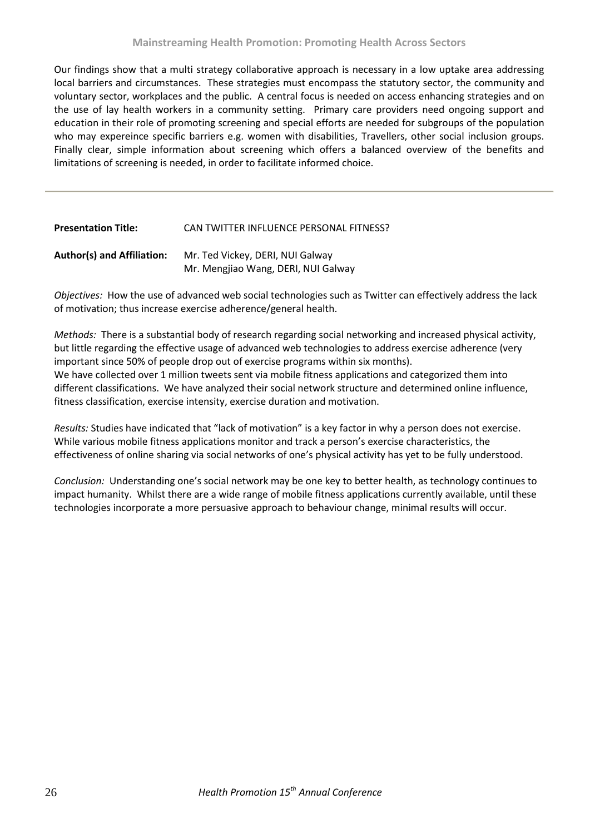Our findings show that a multi strategy collaborative approach is necessary in a low uptake area addressing local barriers and circumstances. These strategies must encompass the statutory sector, the community and voluntary sector, workplaces and the public. A central focus is needed on access enhancing strategies and on the use of lay health workers in a community setting. Primary care providers need ongoing support and education in their role of promoting screening and special efforts are needed for subgroups of the population who may expereince specific barriers e.g. women with disabilities, Travellers, other social inclusion groups. Finally clear, simple information about screening which offers a balanced overview of the benefits and limitations of screening is needed, in order to facilitate informed choice.

| CAN TWITTER INFLUENCE PERSONAL FITNESS?                                 |
|-------------------------------------------------------------------------|
| Mr. Ted Vickey, DERI, NUI Galway<br>Mr. Mengjiao Wang, DERI, NUI Galway |
|                                                                         |

*Objectives:* How the use of advanced web social technologies such as Twitter can effectively address the lack of motivation; thus increase exercise adherence/general health.

*Methods:* There is a substantial body of research regarding social networking and increased physical activity, but little regarding the effective usage of advanced web technologies to address exercise adherence (very important since 50% of people drop out of exercise programs within six months). We have collected over 1 million tweets sent via mobile fitness applications and categorized them into different classifications. We have analyzed their social network structure and determined online influence, fitness classification, exercise intensity, exercise duration and motivation.

*Results:* Studies have indicated that "lack of motivation" is a key factor in why a person does not exercise. While various mobile fitness applications monitor and track a person's exercise characteristics, the effectiveness of online sharing via social networks of one's physical activity has yet to be fully understood.

*Conclusion:* Understanding one's social network may be one key to better health, as technology continues to impact humanity. Whilst there are a wide range of mobile fitness applications currently available, until these technologies incorporate a more persuasive approach to behaviour change, minimal results will occur.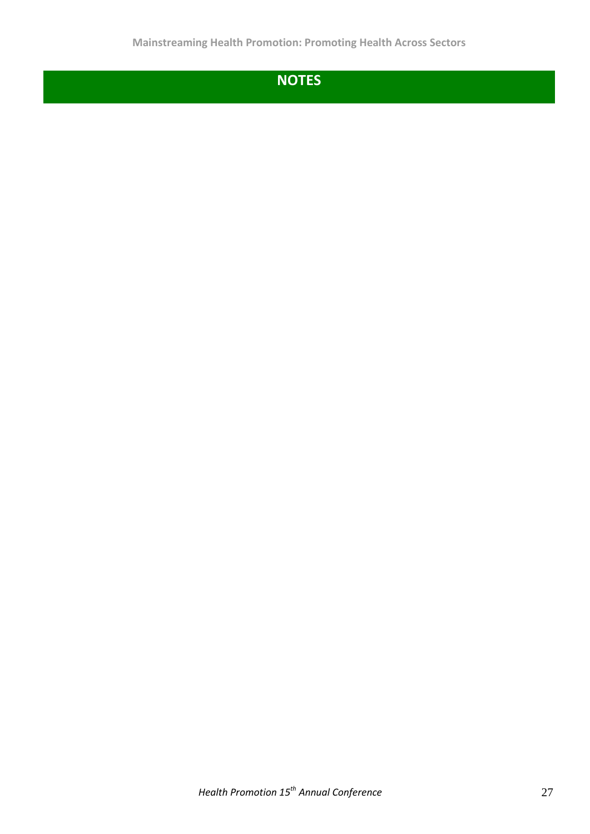## **NOTES**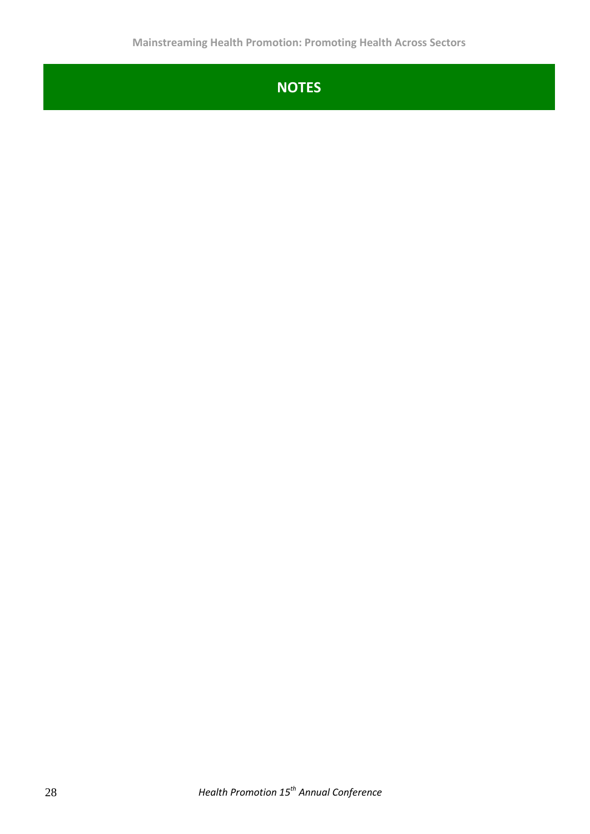## **NOTES**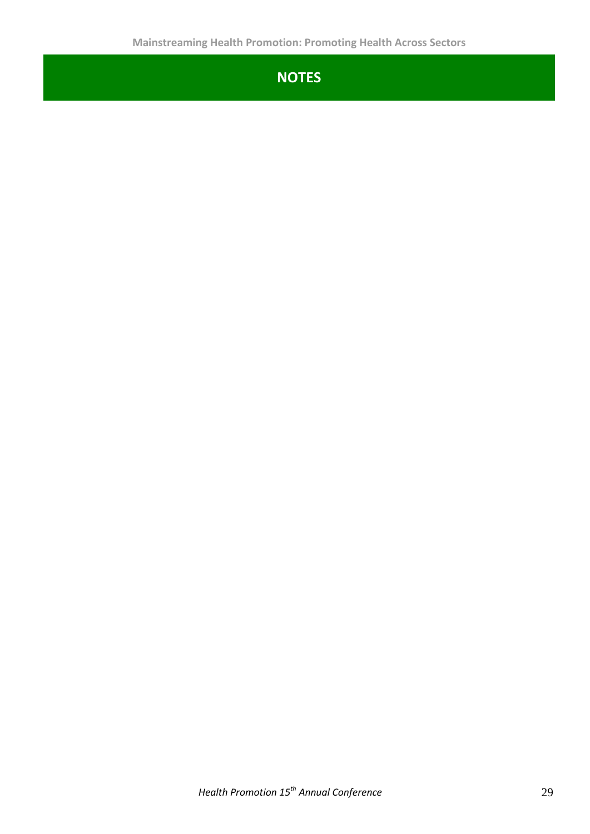## **NOTES**